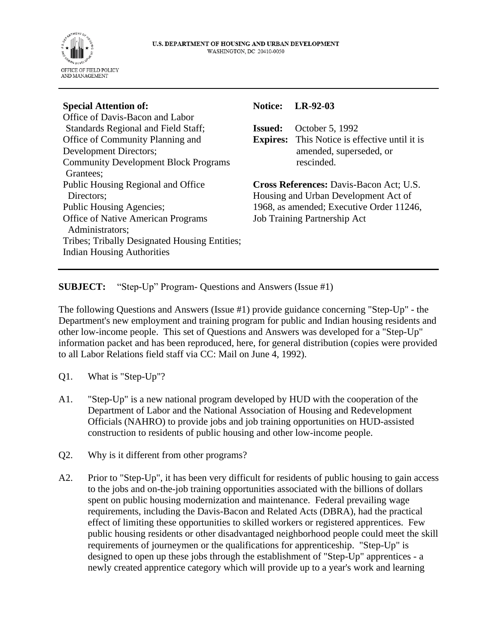

| <b>Special Attention of:</b>                  | <b>Notice:</b>                           | $LR-92-03$                                           |
|-----------------------------------------------|------------------------------------------|------------------------------------------------------|
| Office of Davis-Bacon and Labor               |                                          |                                                      |
| Standards Regional and Field Staff;           | Issued:                                  | October 5, 1992                                      |
| Office of Community Planning and              |                                          | <b>Expires:</b> This Notice is effective until it is |
| Development Directors;                        |                                          | amended, superseded, or                              |
| <b>Community Development Block Programs</b>   |                                          | rescinded.                                           |
| Grantees;                                     |                                          |                                                      |
| Public Housing Regional and Office            | Cross References: Davis-Bacon Act; U.S.  |                                                      |
| Directors;                                    | Housing and Urban Development Act of     |                                                      |
| <b>Public Housing Agencies;</b>               | 1968, as amended; Executive Order 11246, |                                                      |
| <b>Office of Native American Programs</b>     | <b>Job Training Partnership Act</b>      |                                                      |
| Administrators;                               |                                          |                                                      |
| Tribes; Tribally Designated Housing Entities; |                                          |                                                      |
| <b>Indian Housing Authorities</b>             |                                          |                                                      |
|                                               |                                          |                                                      |

**SUBJECT:** "Step-Up" Program- Questions and Answers (Issue #1)

The following Questions and Answers (Issue #1) provide guidance concerning "Step-Up" - the Department's new employment and training program for public and Indian housing residents and other low-income people. This set of Questions and Answers was developed for a "Step-Up" information packet and has been reproduced, here, for general distribution (copies were provided to all Labor Relations field staff via CC: Mail on June 4, 1992).

- Q1. What is "Step-Up"?
- A1. "Step-Up" is a new national program developed by HUD with the cooperation of the Department of Labor and the National Association of Housing and Redevelopment Officials (NAHRO) to provide jobs and job training opportunities on HUD-assisted construction to residents of public housing and other low-income people.
- Q2. Why is it different from other programs?
- A2. Prior to "Step-Up", it has been very difficult for residents of public housing to gain access to the jobs and on-the-job training opportunities associated with the billions of dollars spent on public housing modernization and maintenance. Federal prevailing wage requirements, including the Davis-Bacon and Related Acts (DBRA), had the practical effect of limiting these opportunities to skilled workers or registered apprentices. Few public housing residents or other disadvantaged neighborhood people could meet the skill requirements of journeymen or the qualifications for apprenticeship. "Step-Up" is designed to open up these jobs through the establishment of "Step-Up" apprentices - a newly created apprentice category which will provide up to a year's work and learning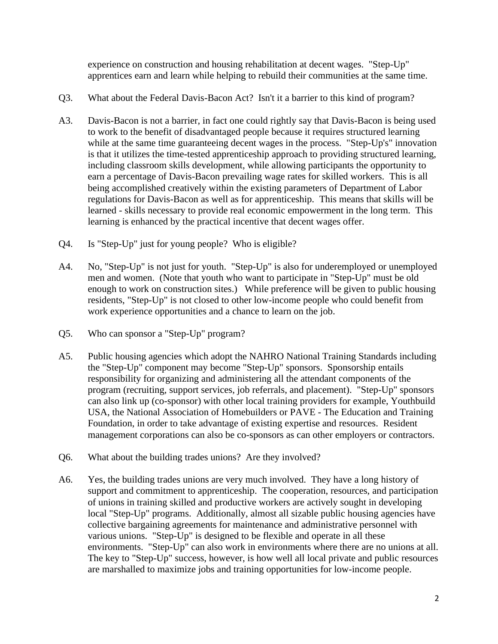experience on construction and housing rehabilitation at decent wages. "Step-Up" apprentices earn and learn while helping to rebuild their communities at the same time.

- Q3. What about the Federal Davis-Bacon Act? Isn't it a barrier to this kind of program?
- A3. Davis-Bacon is not a barrier, in fact one could rightly say that Davis-Bacon is being used to work to the benefit of disadvantaged people because it requires structured learning while at the same time guaranteeing decent wages in the process. "Step-Up's" innovation is that it utilizes the time-tested apprenticeship approach to providing structured learning, including classroom skills development, while allowing participants the opportunity to earn a percentage of Davis-Bacon prevailing wage rates for skilled workers. This is all being accomplished creatively within the existing parameters of Department of Labor regulations for Davis-Bacon as well as for apprenticeship. This means that skills will be learned - skills necessary to provide real economic empowerment in the long term. This learning is enhanced by the practical incentive that decent wages offer.
- Q4. Is "Step-Up" just for young people? Who is eligible?
- A4. No, "Step-Up" is not just for youth. "Step-Up" is also for underemployed or unemployed men and women. (Note that youth who want to participate in "Step-Up" must be old enough to work on construction sites.) While preference will be given to public housing residents, "Step-Up" is not closed to other low-income people who could benefit from work experience opportunities and a chance to learn on the job.
- Q5. Who can sponsor a "Step-Up" program?
- A5. Public housing agencies which adopt the NAHRO National Training Standards including the "Step-Up" component may become "Step-Up" sponsors. Sponsorship entails responsibility for organizing and administering all the attendant components of the program (recruiting, support services, job referrals, and placement). "Step-Up" sponsors can also link up (co-sponsor) with other local training providers for example, Youthbuild USA, the National Association of Homebuilders or PAVE - The Education and Training Foundation, in order to take advantage of existing expertise and resources. Resident management corporations can also be co-sponsors as can other employers or contractors.
- Q6. What about the building trades unions? Are they involved?
- A6. Yes, the building trades unions are very much involved. They have a long history of support and commitment to apprenticeship. The cooperation, resources, and participation of unions in training skilled and productive workers are actively sought in developing local "Step-Up" programs. Additionally, almost all sizable public housing agencies have collective bargaining agreements for maintenance and administrative personnel with various unions. "Step-Up" is designed to be flexible and operate in all these environments. "Step-Up" can also work in environments where there are no unions at all. The key to "Step-Up" success, however, is how well all local private and public resources are marshalled to maximize jobs and training opportunities for low-income people.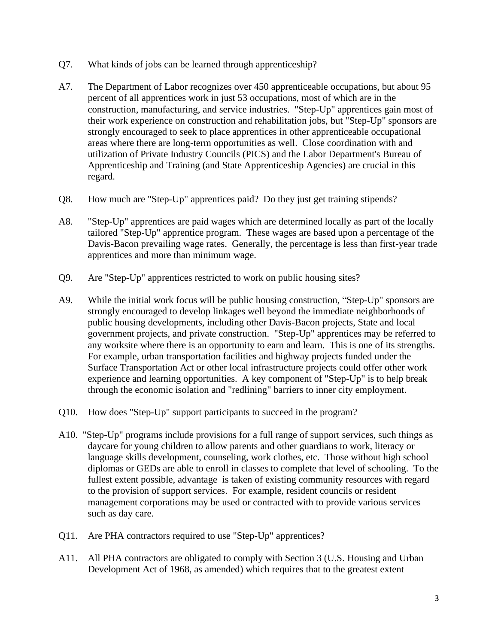- Q7. What kinds of jobs can be learned through apprenticeship?
- A7. The Department of Labor recognizes over 450 apprenticeable occupations, but about 95 percent of all apprentices work in just 53 occupations, most of which are in the construction, manufacturing, and service industries. "Step-Up" apprentices gain most of their work experience on construction and rehabilitation jobs, but "Step-Up" sponsors are strongly encouraged to seek to place apprentices in other apprenticeable occupational areas where there are long-term opportunities as well. Close coordination with and utilization of Private Industry Councils (PICS) and the Labor Department's Bureau of Apprenticeship and Training (and State Apprenticeship Agencies) are crucial in this regard.
- Q8. How much are "Step-Up" apprentices paid? Do they just get training stipends?
- A8. "Step-Up" apprentices are paid wages which are determined locally as part of the locally tailored "Step-Up" apprentice program. These wages are based upon a percentage of the Davis-Bacon prevailing wage rates. Generally, the percentage is less than first-year trade apprentices and more than minimum wage.
- Q9. Are "Step-Up" apprentices restricted to work on public housing sites?
- A9. While the initial work focus will be public housing construction, "Step-Up" sponsors are strongly encouraged to develop linkages well beyond the immediate neighborhoods of public housing developments, including other Davis-Bacon projects, State and local government projects, and private construction. "Step-Up" apprentices may be referred to any worksite where there is an opportunity to earn and learn. This is one of its strengths. For example, urban transportation facilities and highway projects funded under the Surface Transportation Act or other local infrastructure projects could offer other work experience and learning opportunities. A key component of "Step-Up" is to help break through the economic isolation and "redlining" barriers to inner city employment.
- Q10. How does "Step-Up" support participants to succeed in the program?
- A10. "Step-Up" programs include provisions for a full range of support services, such things as daycare for young children to allow parents and other guardians to work, literacy or language skills development, counseling, work clothes, etc. Those without high school diplomas or GEDs are able to enroll in classes to complete that level of schooling. To the fullest extent possible, advantage is taken of existing community resources with regard to the provision of support services. For example, resident councils or resident management corporations may be used or contracted with to provide various services such as day care.
- Q11. Are PHA contractors required to use "Step-Up" apprentices?
- A11. All PHA contractors are obligated to comply with Section 3 (U.S. Housing and Urban Development Act of 1968, as amended) which requires that to the greatest extent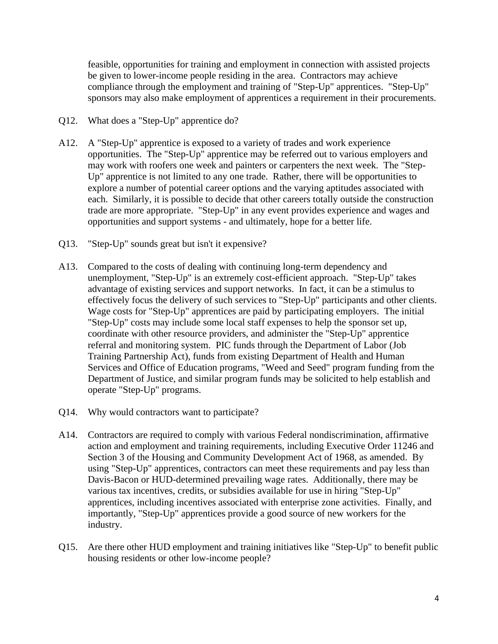feasible, opportunities for training and employment in connection with assisted projects be given to lower-income people residing in the area. Contractors may achieve compliance through the employment and training of "Step-Up" apprentices. "Step-Up" sponsors may also make employment of apprentices a requirement in their procurements.

- Q12. What does a "Step-Up" apprentice do?
- A12. A "Step-Up" apprentice is exposed to a variety of trades and work experience opportunities. The "Step-Up" apprentice may be referred out to various employers and may work with roofers one week and painters or carpenters the next week. The "Step-Up" apprentice is not limited to any one trade. Rather, there will be opportunities to explore a number of potential career options and the varying aptitudes associated with each. Similarly, it is possible to decide that other careers totally outside the construction trade are more appropriate. "Step-Up" in any event provides experience and wages and opportunities and support systems - and ultimately, hope for a better life.
- Q13. "Step-Up" sounds great but isn't it expensive?
- A13. Compared to the costs of dealing with continuing long-term dependency and unemployment, "Step-Up" is an extremely cost-efficient approach. "Step-Up" takes advantage of existing services and support networks. In fact, it can be a stimulus to effectively focus the delivery of such services to "Step-Up" participants and other clients. Wage costs for "Step-Up" apprentices are paid by participating employers. The initial "Step-Up" costs may include some local staff expenses to help the sponsor set up, coordinate with other resource providers, and administer the "Step-Up" apprentice referral and monitoring system. PIC funds through the Department of Labor (Job Training Partnership Act), funds from existing Department of Health and Human Services and Office of Education programs, "Weed and Seed" program funding from the Department of Justice, and similar program funds may be solicited to help establish and operate "Step-Up" programs.
- Q14. Why would contractors want to participate?
- A14. Contractors are required to comply with various Federal nondiscrimination, affirmative action and employment and training requirements, including Executive Order 11246 and Section 3 of the Housing and Community Development Act of 1968, as amended. By using "Step-Up" apprentices, contractors can meet these requirements and pay less than Davis-Bacon or HUD-determined prevailing wage rates. Additionally, there may be various tax incentives, credits, or subsidies available for use in hiring "Step-Up" apprentices, including incentives associated with enterprise zone activities. Finally, and importantly, "Step-Up" apprentices provide a good source of new workers for the industry.
- Q15. Are there other HUD employment and training initiatives like "Step-Up" to benefit public housing residents or other low-income people?